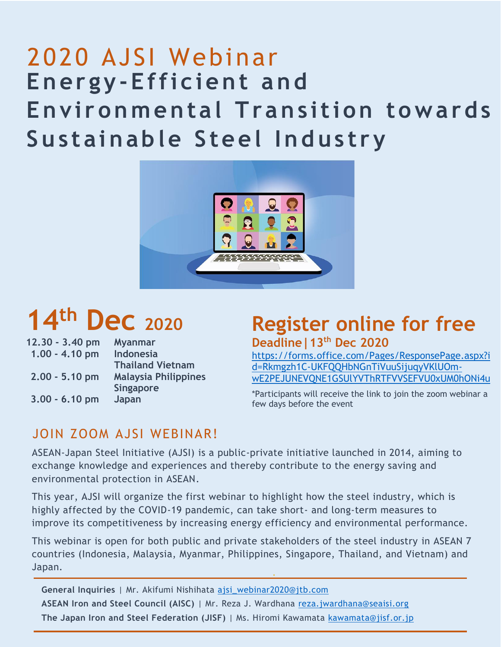# **Energy - Efficient and Environmental Transition towards Su s tainable Steel Industry**  2020 AJSI Webinar



# **14th Dec <sup>2020</sup>**

| 12.30 - 3.40 pm  | <b>Myanmar</b>              |
|------------------|-----------------------------|
| $1.00 - 4.10$ pm | <b>Indonesia</b>            |
|                  | <b>Thailand Vietnam</b>     |
| $2.00 - 5.10$ pm | <b>Malaysia Philippines</b> |
|                  | <b>Singapore</b>            |
| $3.00 - 6.10$ pm | Japan                       |

## **Register online for free Deadline|13th Dec 2020**

[https://forms.office.com/Pages/ResponsePage.aspx?i](https://forms.office.com/Pages/ResponsePage.aspx?id=Rkmgzh1C-UKFQQHbNGnTiVuuSijuqyVKlUOm-wE2PEJUNEVQNE1GSUlYVThRTFVVSEFVU0xUM0hONi4u) [d=Rkmgzh1C-UKFQQHbNGnTiVuuSijuqyVKlUOm](https://forms.office.com/Pages/ResponsePage.aspx?id=Rkmgzh1C-UKFQQHbNGnTiVuuSijuqyVKlUOm-wE2PEJUNEVQNE1GSUlYVThRTFVVSEFVU0xUM0hONi4u)[wE2PEJUNEVQNE1GSUlYVThRTFVVSEFVU0xUM0hONi4u](https://forms.office.com/Pages/ResponsePage.aspx?id=Rkmgzh1C-UKFQQHbNGnTiVuuSijuqyVKlUOm-wE2PEJUNEVQNE1GSUlYVThRTFVVSEFVU0xUM0hONi4u)

\*Participants will receive the link to join the zoom webinar a few days before the event

#### JOIN ZOOM AJSI WEBINAR!

ASEAN-Japan Steel Initiative (AJSI) is a public-private initiative launched in 2014, aiming to exchange knowledge and experiences and thereby contribute to the energy saving and environmental protection in ASEAN.

This year, AJSI will organize the first webinar to highlight how the steel industry, which is highly affected by the COVID-19 pandemic, can take short- and long-term measures to improve its competitiveness by increasing energy efficiency and environmental performance.

This webinar is open for both public and private stakeholders of the steel industry in ASEAN 7 countries (Indonesia, Malaysia, Myanmar, Philippines, Singapore, Thailand, and Vietnam) and Japan.

**General Inquiries** | Mr. Akifumi Nishihata [ajsi\\_webinar2020@jtb.com](mailto:ajsi_webinar2020@jtb.com) **ASEAN Iron and Steel Council (AISC)** | Mr. Reza J. Wardhana [reza.jwardhana@seaisi.org](mailto:reza.jwardhana@seaisi.org) **The Japan Iron and Steel Federation (JISF)** | Ms. Hiromi Kawamata [kawamata@jisf.or.jp](mailto:kawamata@jisf.or.jp)